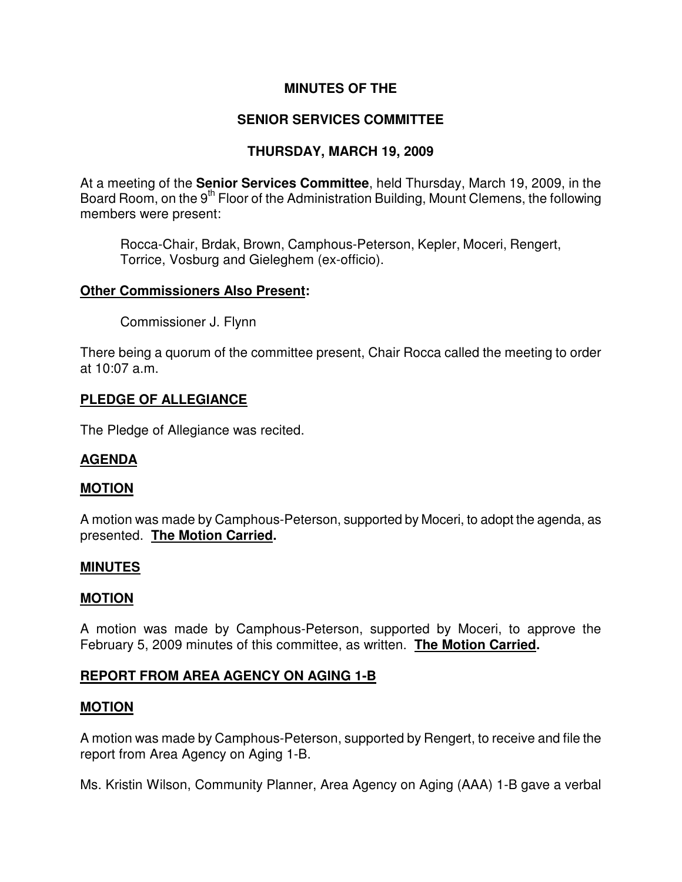# **MINUTES OF THE**

# **SENIOR SERVICES COMMITTEE**

# **THURSDAY, MARCH 19, 2009**

At a meeting of the **Senior Services Committee**, held Thursday, March 19, 2009, in the Board Room, on the 9<sup>th</sup> Floor of the Administration Building, Mount Clemens, the following members were present:

Rocca-Chair, Brdak, Brown, Camphous-Peterson, Kepler, Moceri, Rengert, Torrice, Vosburg and Gieleghem (ex-officio).

#### **Other Commissioners Also Present:**

Commissioner J. Flynn

There being a quorum of the committee present, Chair Rocca called the meeting to order at 10:07 a.m.

### **PLEDGE OF ALLEGIANCE**

The Pledge of Allegiance was recited.

### **AGENDA**

#### **MOTION**

A motion was made by Camphous-Peterson, supported by Moceri, to adopt the agenda, as presented. **The Motion Carried.** 

#### **MINUTES**

#### **MOTION**

A motion was made by Camphous-Peterson, supported by Moceri, to approve the February 5, 2009 minutes of this committee, as written. **The Motion Carried.** 

### **REPORT FROM AREA AGENCY ON AGING 1-B**

#### **MOTION**

A motion was made by Camphous-Peterson, supported by Rengert, to receive and file the report from Area Agency on Aging 1-B.

Ms. Kristin Wilson, Community Planner, Area Agency on Aging (AAA) 1-B gave a verbal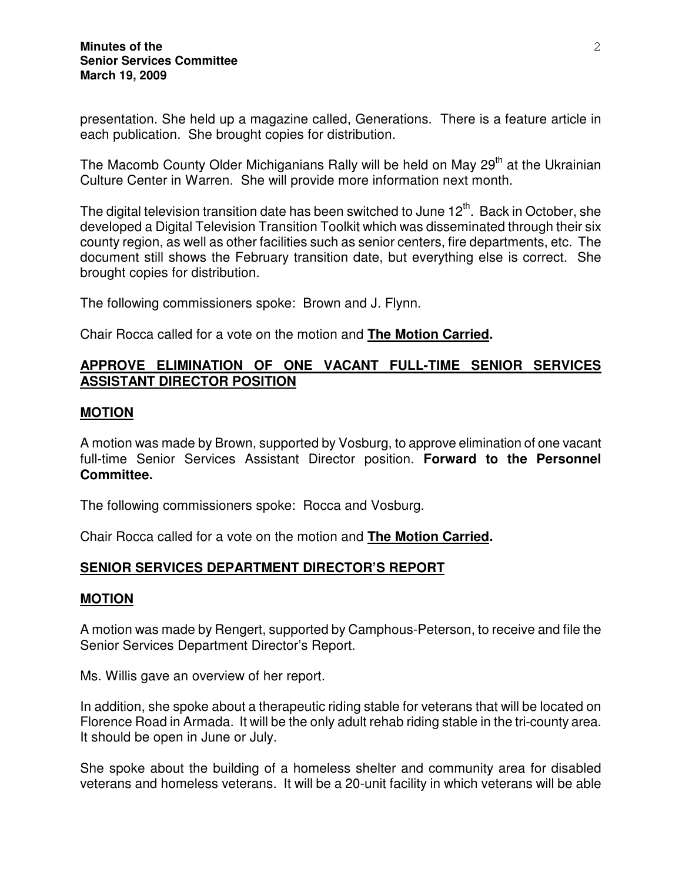presentation. She held up a magazine called, Generations. There is a feature article in each publication. She brought copies for distribution.

The Macomb County Older Michiganians Rally will be held on May  $29<sup>th</sup>$  at the Ukrainian Culture Center in Warren. She will provide more information next month.

The digital television transition date has been switched to June  $12<sup>th</sup>$ . Back in October, she developed a Digital Television Transition Toolkit which was disseminated through their six county region, as well as other facilities such as senior centers, fire departments, etc. The document still shows the February transition date, but everything else is correct. She brought copies for distribution.

The following commissioners spoke: Brown and J. Flynn.

Chair Rocca called for a vote on the motion and **The Motion Carried.** 

## **APPROVE ELIMINATION OF ONE VACANT FULL-TIME SENIOR SERVICES ASSISTANT DIRECTOR POSITION**

### **MOTION**

A motion was made by Brown, supported by Vosburg, to approve elimination of one vacant full-time Senior Services Assistant Director position. **Forward to the Personnel Committee.** 

The following commissioners spoke: Rocca and Vosburg.

Chair Rocca called for a vote on the motion and **The Motion Carried.** 

### **SENIOR SERVICES DEPARTMENT DIRECTOR'S REPORT**

#### **MOTION**

A motion was made by Rengert, supported by Camphous-Peterson, to receive and file the Senior Services Department Director's Report.

Ms. Willis gave an overview of her report.

In addition, she spoke about a therapeutic riding stable for veterans that will be located on Florence Road in Armada. It will be the only adult rehab riding stable in the tri-county area. It should be open in June or July.

She spoke about the building of a homeless shelter and community area for disabled veterans and homeless veterans. It will be a 20-unit facility in which veterans will be able